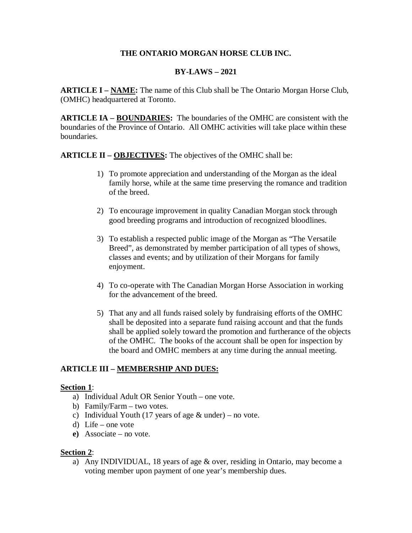### **THE ONTARIO MORGAN HORSE CLUB INC.**

# **BY-LAWS – 2021**

**ARTICLE I – NAME:** The name of this Club shall be The Ontario Morgan Horse Club, (OMHC) headquartered at Toronto.

**ARTICLE IA – BOUNDARIES:** The boundaries of the OMHC are consistent with the boundaries of the Province of Ontario. All OMHC activities will take place within these boundaries.

**ARTICLE II – OBJECTIVES:** The objectives of the OMHC shall be:

- 1) To promote appreciation and understanding of the Morgan as the ideal family horse, while at the same time preserving the romance and tradition of the breed.
- 2) To encourage improvement in quality Canadian Morgan stock through good breeding programs and introduction of recognized bloodlines.
- 3) To establish a respected public image of the Morgan as "The Versatile Breed", as demonstrated by member participation of all types of shows, classes and events; and by utilization of their Morgans for family enjoyment.
- 4) To co-operate with The Canadian Morgan Horse Association in working for the advancement of the breed.
- 5) That any and all funds raised solely by fundraising efforts of the OMHC shall be deposited into a separate fund raising account and that the funds shall be applied solely toward the promotion and furtherance of the objects of the OMHC. The books of the account shall be open for inspection by the board and OMHC members at any time during the annual meeting.

# **ARTICLE III – MEMBERSHIP AND DUES:**

#### **Section 1**:

- a) Individual Adult OR Senior Youth one vote.
- b) Family/Farm two votes.
- c) Individual Youth (17 years of age  $&$  under) no vote.
- d) Life one vote
- **e)** Associate no vote.

### **Section 2**:

a) Any INDIVIDUAL, 18 years of age & over, residing in Ontario, may become a voting member upon payment of one year's membership dues.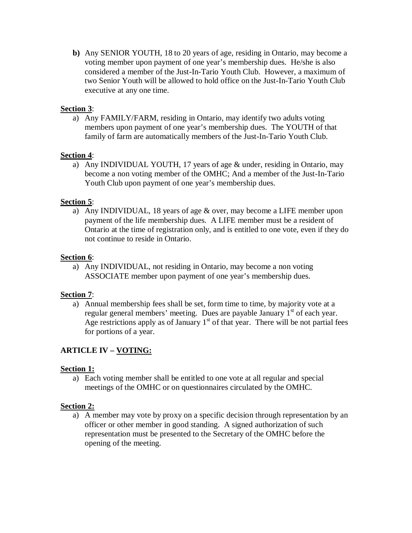**b)** Any SENIOR YOUTH, 18 to 20 years of age, residing in Ontario, may become a voting member upon payment of one year's membership dues. He/she is also considered a member of the Just-In-Tario Youth Club. However, a maximum of two Senior Youth will be allowed to hold office on the Just-In-Tario Youth Club executive at any one time.

### **Section 3**:

a) Any FAMILY/FARM, residing in Ontario, may identify two adults voting members upon payment of one year's membership dues. The YOUTH of that family of farm are automatically members of the Just-In-Tario Youth Club.

### **Section 4**:

a) Any INDIVIDUAL YOUTH, 17 years of age & under, residing in Ontario, may become a non voting member of the OMHC; And a member of the Just-In-Tario Youth Club upon payment of one year's membership dues.

# **Section 5**:

a) Any INDIVIDUAL, 18 years of age & over, may become a LIFE member upon payment of the life membership dues. A LIFE member must be a resident of Ontario at the time of registration only, and is entitled to one vote, even if they do not continue to reside in Ontario.

# **Section 6**:

a) Any INDIVIDUAL, not residing in Ontario, may become a non voting ASSOCIATE member upon payment of one year's membership dues.

### **Section 7**:

a) Annual membership fees shall be set, form time to time, by majority vote at a regular general members' meeting. Dues are payable January  $1<sup>st</sup>$  of each year. Age restrictions apply as of January  $1<sup>st</sup>$  of that year. There will be not partial fees for portions of a year.

# **ARTICLE IV – VOTING:**

### **Section 1:**

a) Each voting member shall be entitled to one vote at all regular and special meetings of the OMHC or on questionnaires circulated by the OMHC.

### **Section 2:**

a) A member may vote by proxy on a specific decision through representation by an officer or other member in good standing. A signed authorization of such representation must be presented to the Secretary of the OMHC before the opening of the meeting.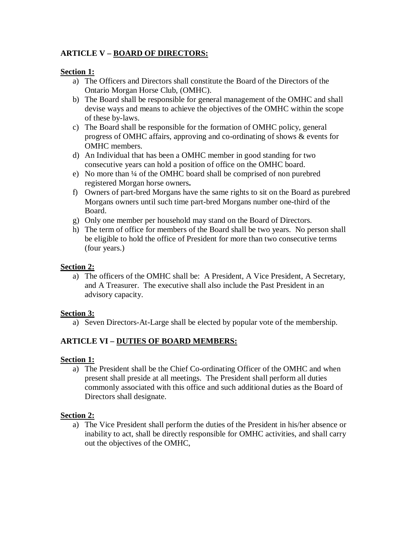# **ARTICLE V – BOARD OF DIRECTORS:**

#### **Section 1:**

- a) The Officers and Directors shall constitute the Board of the Directors of the Ontario Morgan Horse Club, (OMHC).
- b) The Board shall be responsible for general management of the OMHC and shall devise ways and means to achieve the objectives of the OMHC within the scope of these by-laws.
- c) The Board shall be responsible for the formation of OMHC policy, general progress of OMHC affairs, approving and co-ordinating of shows & events for OMHC members.
- d) An Individual that has been a OMHC member in good standing for two consecutive years can hold a position of office on the OMHC board.
- e) No more than ¼ of the OMHC board shall be comprised of non purebred registered Morgan horse owners**.**
- f) Owners of part-bred Morgans have the same rights to sit on the Board as purebred Morgans owners until such time part-bred Morgans number one-third of the Board.
- g) Only one member per household may stand on the Board of Directors.
- h) The term of office for members of the Board shall be two years. No person shall be eligible to hold the office of President for more than two consecutive terms (four years.)

#### **Section 2:**

a) The officers of the OMHC shall be: A President, A Vice President, A Secretary, and A Treasurer. The executive shall also include the Past President in an advisory capacity.

### **Section 3:**

a) Seven Directors-At-Large shall be elected by popular vote of the membership.

### **ARTICLE VI – DUTIES OF BOARD MEMBERS:**

#### **Section 1:**

a) The President shall be the Chief Co-ordinating Officer of the OMHC and when present shall preside at all meetings. The President shall perform all duties commonly associated with this office and such additional duties as the Board of Directors shall designate.

### **Section 2:**

a) The Vice President shall perform the duties of the President in his/her absence or inability to act, shall be directly responsible for OMHC activities, and shall carry out the objectives of the OMHC,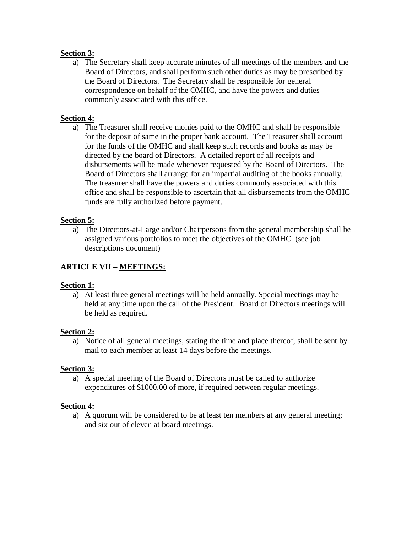### **Section 3:**

a) The Secretary shall keep accurate minutes of all meetings of the members and the Board of Directors, and shall perform such other duties as may be prescribed by the Board of Directors. The Secretary shall be responsible for general correspondence on behalf of the OMHC, and have the powers and duties commonly associated with this office.

### **Section 4:**

a) The Treasurer shall receive monies paid to the OMHC and shall be responsible for the deposit of same in the proper bank account. The Treasurer shall account for the funds of the OMHC and shall keep such records and books as may be directed by the board of Directors. A detailed report of all receipts and disbursements will be made whenever requested by the Board of Directors. The Board of Directors shall arrange for an impartial auditing of the books annually. The treasurer shall have the powers and duties commonly associated with this office and shall be responsible to ascertain that all disbursements from the OMHC funds are fully authorized before payment.

#### **Section 5:**

a) The Directors-at-Large and/or Chairpersons from the general membership shall be assigned various portfolios to meet the objectives of the OMHC (see job descriptions document)

### **ARTICLE VII – MEETINGS:**

#### **Section 1:**

a) At least three general meetings will be held annually. Special meetings may be held at any time upon the call of the President. Board of Directors meetings will be held as required.

#### **Section 2:**

a) Notice of all general meetings, stating the time and place thereof, shall be sent by mail to each member at least 14 days before the meetings.

#### **Section 3:**

a) A special meeting of the Board of Directors must be called to authorize expenditures of \$1000.00 of more, if required between regular meetings.

#### **Section 4:**

a) A quorum will be considered to be at least ten members at any general meeting; and six out of eleven at board meetings.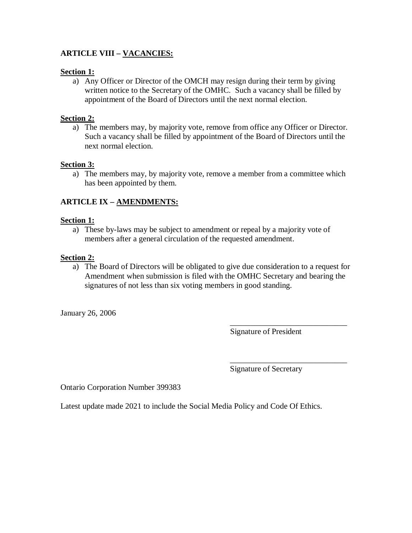# **ARTICLE VIII – VACANCIES:**

#### **Section 1:**

a) Any Officer or Director of the OMCH may resign during their term by giving written notice to the Secretary of the OMHC. Such a vacancy shall be filled by appointment of the Board of Directors until the next normal election.

### **Section 2:**

a) The members may, by majority vote, remove from office any Officer or Director. Such a vacancy shall be filled by appointment of the Board of Directors until the next normal election.

#### **Section 3:**

a) The members may, by majority vote, remove a member from a committee which has been appointed by them.

### **ARTICLE IX – AMENDMENTS:**

#### **Section 1:**

a) These by-laws may be subject to amendment or repeal by a majority vote of members after a general circulation of the requested amendment.

#### **Section 2:**

a) The Board of Directors will be obligated to give due consideration to a request for Amendment when submission is filed with the OMHC Secretary and bearing the signatures of not less than six voting members in good standing.

 $\overline{\phantom{a}}$  , which is a set of the set of the set of the set of the set of the set of the set of the set of the set of the set of the set of the set of the set of the set of the set of the set of the set of the set of th

January 26, 2006

Signature of President

Signature of Secretary

\_\_\_\_\_\_\_\_\_\_\_\_\_\_\_\_\_\_\_\_\_\_\_\_\_\_\_\_\_

Ontario Corporation Number 399383

Latest update made 2021 to include the Social Media Policy and Code Of Ethics.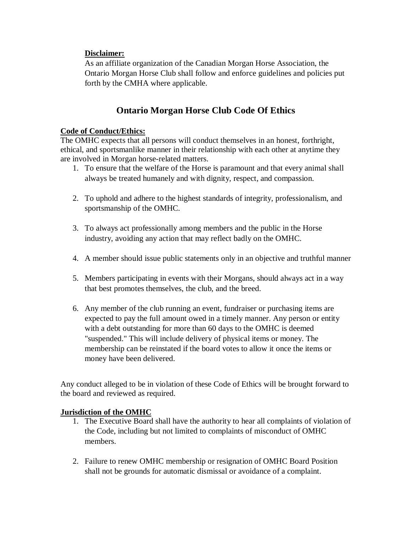### **Disclaimer:**

As an affiliate organization of the Canadian Morgan Horse Association, the Ontario Morgan Horse Club shall follow and enforce guidelines and policies put forth by the CMHA where applicable.

# **Ontario Morgan Horse Club Code Of Ethics**

## **Code of Conduct/Ethics:**

The OMHC expects that all persons will conduct themselves in an honest, forthright, ethical, and sportsmanlike manner in their relationship with each other at anytime they are involved in Morgan horse-related matters.

- 1. To ensure that the welfare of the Horse is paramount and that every animal shall always be treated humanely and with dignity, respect, and compassion.
- 2. To uphold and adhere to the highest standards of integrity, professionalism, and sportsmanship of the OMHC.
- 3. To always act professionally among members and the public in the Horse industry, avoiding any action that may reflect badly on the OMHC.
- 4. A member should issue public statements only in an objective and truthful manner
- 5. Members participating in events with their Morgans, should always act in a way that best promotes themselves, the club, and the breed.
- 6. Any member of the club running an event, fundraiser or purchasing items are expected to pay the full amount owed in a timely manner. Any person or entity with a debt outstanding for more than 60 days to the OMHC is deemed "suspended." This will include delivery of physical items or money. The membership can be reinstated if the board votes to allow it once the items or money have been delivered.

Any conduct alleged to be in violation of these Code of Ethics will be brought forward to the board and reviewed as required.

#### **Jurisdiction of the OMHC**

- 1. The Executive Board shall have the authority to hear all complaints of violation of the Code, including but not limited to complaints of misconduct of OMHC members.
- 2. Failure to renew OMHC membership or resignation of OMHC Board Position shall not be grounds for automatic dismissal or avoidance of a complaint.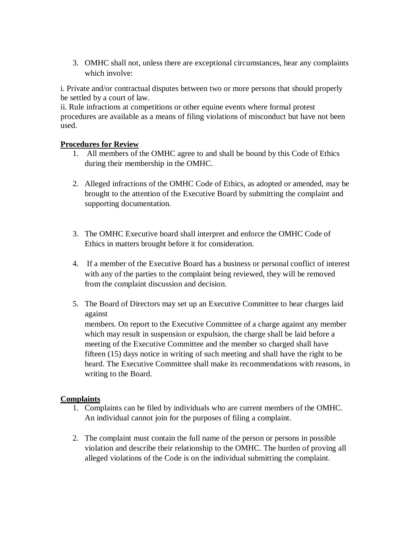3. OMHC shall not, unless there are exceptional circumstances, hear any complaints which involve:

i. Private and/or contractual disputes between two or more persons that should properly be settled by a court of law.

ii. Rule infractions at competitions or other equine events where formal protest procedures are available as a means of filing violations of misconduct but have not been used.

### **Procedures for Review**

- 1. All members of the OMHC agree to and shall be bound by this Code of Ethics during their membership in the OMHC.
- 2. Alleged infractions of the OMHC Code of Ethics, as adopted or amended, may be brought to the attention of the Executive Board by submitting the complaint and supporting documentation.
- 3. The OMHC Executive board shall interpret and enforce the OMHC Code of Ethics in matters brought before it for consideration.
- 4. If a member of the Executive Board has a business or personal conflict of interest with any of the parties to the complaint being reviewed, they will be removed from the complaint discussion and decision.
- 5. The Board of Directors may set up an Executive Committee to hear charges laid against

members. On report to the Executive Committee of a charge against any member which may result in suspension or expulsion, the charge shall be laid before a meeting of the Executive Committee and the member so charged shall have fifteen (15) days notice in writing of such meeting and shall have the right to be heard. The Executive Committee shall make its recommendations with reasons, in writing to the Board.

### **Complaints**

- 1. Complaints can be filed by individuals who are current members of the OMHC. An individual cannot join for the purposes of filing a complaint.
- 2. The complaint must contain the full name of the person or persons in possible violation and describe their relationship to the OMHC. The burden of proving all alleged violations of the Code is on the individual submitting the complaint.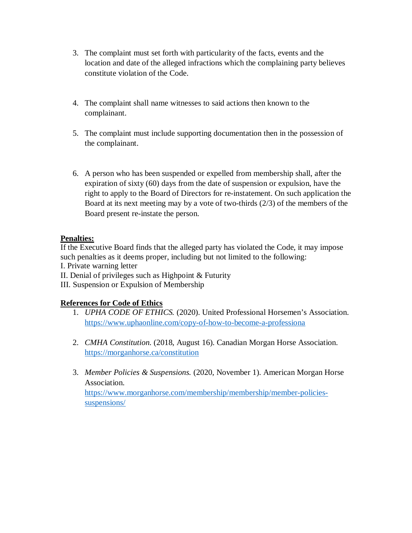- 3. The complaint must set forth with particularity of the facts, events and the location and date of the alleged infractions which the complaining party believes constitute violation of the Code.
- 4. The complaint shall name witnesses to said actions then known to the complainant.
- 5. The complaint must include supporting documentation then in the possession of the complainant.
- 6. A person who has been suspended or expelled from membership shall, after the expiration of sixty (60) days from the date of suspension or expulsion, have the right to apply to the Board of Directors for re-instatement. On such application the Board at its next meeting may by a vote of two-thirds (2/3) of the members of the Board present re-instate the person.

### **Penalties:**

If the Executive Board finds that the alleged party has violated the Code, it may impose such penalties as it deems proper, including but not limited to the following:

I. Private warning letter

- II. Denial of privileges such as Highpoint & Futurity
- III. Suspension or Expulsion of Membership

# **References for Code of Ethics**

- 1. *UPHA CODE OF ETHICS.* (2020). United Professional Horsemen's Association. <https://www.uphaonline.com/copy-of-how-to-become-a-professiona>
- 2. *CMHA Constitution.* (2018, August 16). Canadian Morgan Horse Association. <https://morganhorse.ca/constitution>
- 3. *Member Policies & Suspensions.* (2020, November 1). American Morgan Horse Association.

[https://www.morganhorse.com/membership/membership/member-policies](https://www.morganhorse.com/membership/membership/member-policies-suspensions/)[suspensions/](https://www.morganhorse.com/membership/membership/member-policies-suspensions/)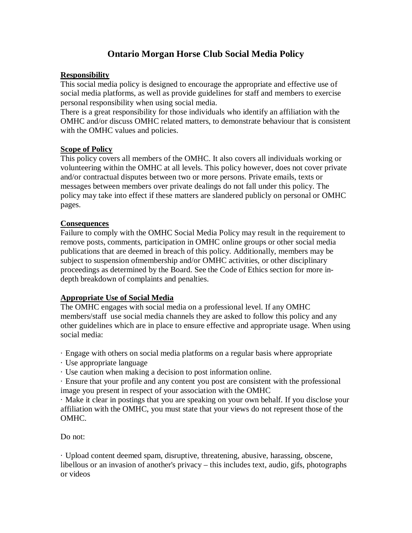# **Ontario Morgan Horse Club Social Media Policy**

### **Responsibility**

This social media policy is designed to encourage the appropriate and effective use of social media platforms, as well as provide guidelines for staff and members to exercise personal responsibility when using social media.

There is a great responsibility for those individuals who identify an affiliation with the OMHC and/or discuss OMHC related matters, to demonstrate behaviour that is consistent with the OMHC values and policies.

#### **Scope of Policy**

This policy covers all members of the OMHC. It also covers all individuals working or volunteering within the OMHC at all levels. This policy however, does not cover private and/or contractual disputes between two or more persons. Private emails, texts or messages between members over private dealings do not fall under this policy. The policy may take into effect if these matters are slandered publicly on personal or OMHC pages.

#### **Consequences**

Failure to comply with the OMHC Social Media Policy may result in the requirement to remove posts, comments, participation in OMHC online groups or other social media publications that are deemed in breach of this policy. Additionally, members may be subject to suspension ofmembership and/or OMHC activities, or other disciplinary proceedings as determined by the Board. See the Code of Ethics section for more indepth breakdown of complaints and penalties.

### **Appropriate Use of Social Media**

The OMHC engages with social media on a professional level. If any OMHC members/staff use social media channels they are asked to follow this policy and any other guidelines which are in place to ensure effective and appropriate usage. When using social media:

· Engage with others on social media platforms on a regular basis where appropriate

· Use appropriate language

· Use caution when making a decision to post information online.

· Ensure that your profile and any content you post are consistent with the professional image you present in respect of your association with the OMHC

· Make it clear in postings that you are speaking on your own behalf. If you disclose your affiliation with the OMHC, you must state that your views do not represent those of the OMHC.

Do not:

· Upload content deemed spam, disruptive, threatening, abusive, harassing, obscene, libellous or an invasion of another's privacy – this includes text, audio, gifs, photographs or videos